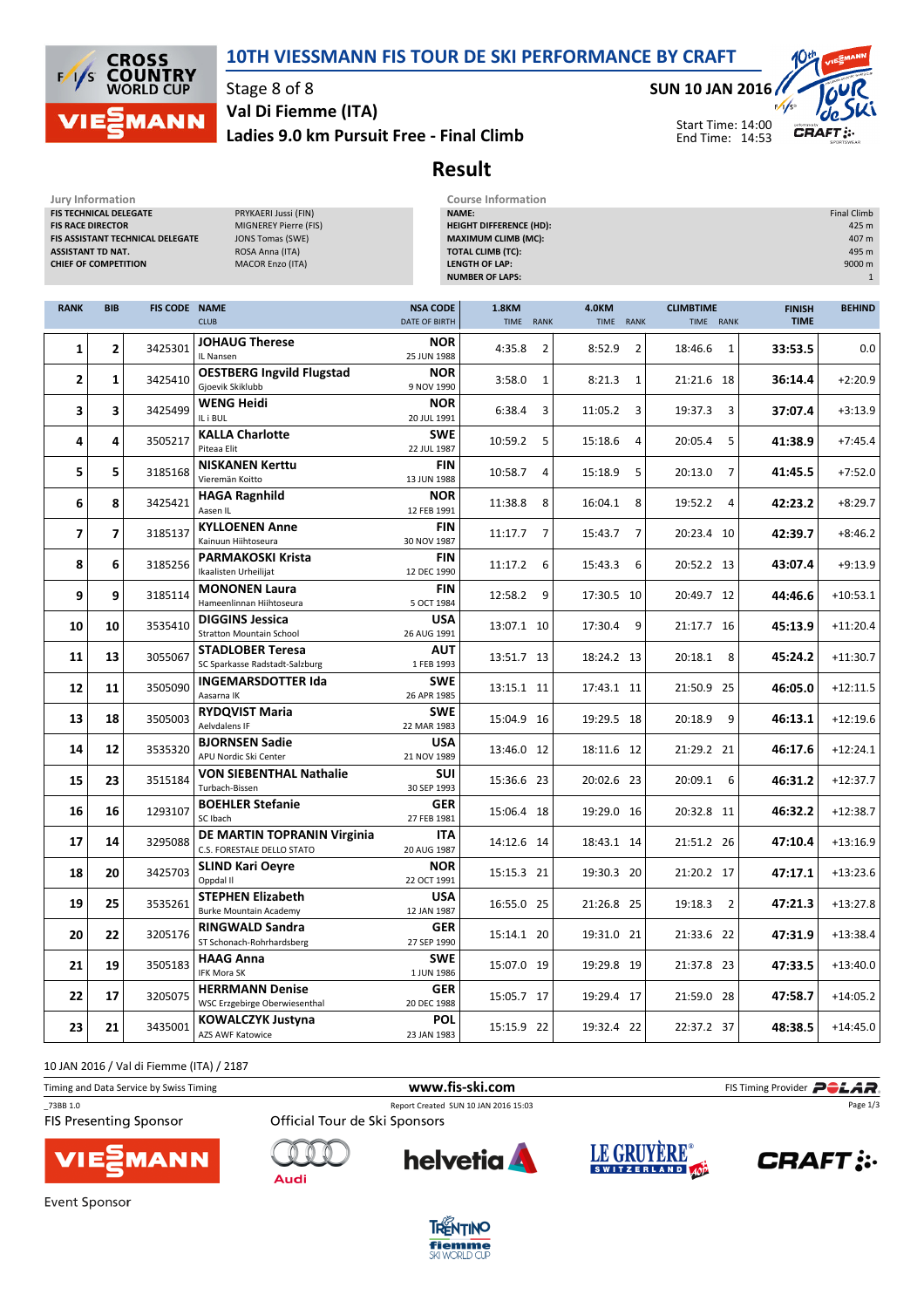



#### Stage 8 of 8

Ladies 9.0 km Pursuit Free - Final Climb Val Di Fiemme (ITA)

#### SUN 10 JAN 2016

Start Time: 14:00 End Time: 14:53



## Result

| Jury Information<br><b>Course Information</b><br>FIS TECHNICAL DELEGATE<br>PRYKAERI Jussi (FIN)<br>NAME:<br><b>Final Climb</b><br><b>FIS RACE DIRECTOR</b><br><b>HEIGHT DIFFERENCE (HD):</b><br>MIGNEREY Pierre (FIS)<br>425 m<br>FIS ASSISTANT TECHNICAL DELEGATE<br><b>MAXIMUM CLIMB (MC):</b><br>407 m<br><b>JONS Tomas (SWE)</b><br><b>TOTAL CLIMB (TC):</b><br>495 m<br><b>ASSISTANT TD NAT.</b><br>ROSA Anna (ITA)<br><b>LENGTH OF LAP:</b><br>9000 m<br><b>CHIEF OF COMPETITION</b><br><b>MACOR Enzo (ITA)</b><br><b>NUMBER OF LAPS:</b> |                |                      |                                                           |                                  |                                     |                                            |                               |                              |               |
|-------------------------------------------------------------------------------------------------------------------------------------------------------------------------------------------------------------------------------------------------------------------------------------------------------------------------------------------------------------------------------------------------------------------------------------------------------------------------------------------------------------------------------------------------|----------------|----------------------|-----------------------------------------------------------|----------------------------------|-------------------------------------|--------------------------------------------|-------------------------------|------------------------------|---------------|
| <b>RANK</b>                                                                                                                                                                                                                                                                                                                                                                                                                                                                                                                                     | <b>BIB</b>     | <b>FIS CODE NAME</b> | <b>CLUB</b>                                               | <b>NSA CODE</b><br>DATE OF BIRTH | <b>1.8KM</b><br><b>TIME</b><br>RANK | <b>4.0KM</b><br><b>TIME</b><br><b>RANK</b> | <b>CLIMBTIME</b><br>TIME RANK | <b>FINISH</b><br><b>TIME</b> | <b>BEHIND</b> |
| 1                                                                                                                                                                                                                                                                                                                                                                                                                                                                                                                                               | 2              | 3425301              | <b>JOHAUG Therese</b><br>IL Nansen                        | <b>NOR</b><br>25 JUN 1988        | 4:35.8<br>$\overline{2}$            | 8:52.9<br>$\overline{2}$                   | 18:46.6<br>1                  | 33:53.5                      | 0.0           |
| $\overline{2}$                                                                                                                                                                                                                                                                                                                                                                                                                                                                                                                                  | 1              | 3425410              | <b>OESTBERG Ingvild Flugstad</b><br>Gjoevik Skiklubb      | <b>NOR</b><br>9 NOV 1990         | 3:58.0<br>1                         | 8:21.3<br>1                                | 21:21.6 18                    | 36:14.4                      | $+2:20.9$     |
| 3                                                                                                                                                                                                                                                                                                                                                                                                                                                                                                                                               | 3              | 3425499              | <b>WENG Heidi</b><br>IL i BUL                             | <b>NOR</b><br>20 JUL 1991        | 6:38.4<br>3                         | 3<br>11:05.2                               | 19:37.3<br>3                  | 37:07.4                      | $+3:13.9$     |
| 4                                                                                                                                                                                                                                                                                                                                                                                                                                                                                                                                               | 4              | 3505217              | <b>KALLA Charlotte</b><br>Piteaa Elit                     | <b>SWE</b><br>22 JUL 1987        | 10:59.2<br>5                        | 15:18.6<br>4                               | 20:05.4<br>5                  | 41:38.9                      | $+7:45.4$     |
| 5                                                                                                                                                                                                                                                                                                                                                                                                                                                                                                                                               | 5              | 3185168              | <b>NISKANEN Kerttu</b><br>Vieremän Koitto                 | <b>FIN</b><br>13 JUN 1988        | 10:58.7<br>4                        | 15:18.9<br>5                               | 20:13.0<br>$\overline{7}$     | 41:45.5                      | $+7:52.0$     |
| 6                                                                                                                                                                                                                                                                                                                                                                                                                                                                                                                                               | 8              | 3425421              | <b>HAGA Ragnhild</b><br>Aasen IL                          | <b>NOR</b><br>12 FEB 1991        | 11:38.8<br>8                        | 16:04.1<br>8                               | 19:52.2<br>4                  | 42:23.2                      | $+8:29.7$     |
| $\overline{7}$                                                                                                                                                                                                                                                                                                                                                                                                                                                                                                                                  | $\overline{7}$ | 3185137              | <b>KYLLOENEN Anne</b><br>Kainuun Hiihtoseura              | <b>FIN</b><br>30 NOV 1987        | 7<br>11:17.7                        | $\overline{7}$<br>15:43.7                  | 20:23.4 10                    | 42:39.7                      | $+8:46.2$     |
| 8                                                                                                                                                                                                                                                                                                                                                                                                                                                                                                                                               | 6              | 3185256              | <b>PARMAKOSKI Krista</b><br>Ikaalisten Urheilijat         | <b>FIN</b><br>12 DEC 1990        | 11:17.2<br>6                        | 15:43.3<br>6                               | 20:52.2 13                    | 43:07.4                      | $+9:13.9$     |
| 9                                                                                                                                                                                                                                                                                                                                                                                                                                                                                                                                               | 9              | 3185114              | <b>MONONEN Laura</b><br>Hameenlinnan Hiihtoseura          | <b>FIN</b><br>5 OCT 1984         | 12:58.2<br>9                        | 17:30.5 10                                 | 20:49.7 12                    | 44:46.6                      | $+10:53.1$    |
| 10                                                                                                                                                                                                                                                                                                                                                                                                                                                                                                                                              | 10             | 3535410              | <b>DIGGINS Jessica</b><br><b>Stratton Mountain School</b> | <b>USA</b><br>26 AUG 1991        | 13:07.1 10                          | 9<br>17:30.4                               | 21:17.7 16                    | 45:13.9                      | $+11:20.4$    |
| 11                                                                                                                                                                                                                                                                                                                                                                                                                                                                                                                                              | 13             | 3055067              | <b>STADLOBER Teresa</b><br>SC Sparkasse Radstadt-Salzburg | <b>AUT</b><br>1 FEB 1993         | 13:51.7 13                          | 18:24.2 13                                 | 20:18.1<br>8                  | 45:24.2                      | $+11:30.7$    |
| 12                                                                                                                                                                                                                                                                                                                                                                                                                                                                                                                                              | 11             | 3505090              | <b>INGEMARSDOTTER Ida</b><br>Aasarna IK                   | <b>SWE</b><br>26 APR 1985        | 13:15.1 11                          | 17:43.1 11                                 | 21:50.9 25                    | 46:05.0                      | $+12:11.5$    |
| 13                                                                                                                                                                                                                                                                                                                                                                                                                                                                                                                                              | 18             | 3505003              | <b>RYDQVIST Maria</b><br>Aelvdalens IF                    | <b>SWE</b><br>22 MAR 1983        | 15:04.9 16                          | 19:29.5 18                                 | 20:18.9<br>9                  | 46:13.1                      | $+12:19.6$    |
| 14                                                                                                                                                                                                                                                                                                                                                                                                                                                                                                                                              | 12             | 3535320              | <b>BJORNSEN Sadie</b><br>APU Nordic Ski Center            | USA<br>21 NOV 1989               | 13:46.0 12                          | 18:11.6 12                                 | 21:29.2 21                    | 46:17.6                      | $+12:24.1$    |
| 15                                                                                                                                                                                                                                                                                                                                                                                                                                                                                                                                              | 23             | 3515184              | <b>VON SIEBENTHAL Nathalie</b><br>Turbach-Bissen          | <b>SUI</b><br>30 SEP 1993        | 15:36.6 23                          | 20:02.6 23                                 | 20:09.1<br>6                  | 46:31.2                      | $+12:37.7$    |
| 16                                                                                                                                                                                                                                                                                                                                                                                                                                                                                                                                              | 16             | 1293107              | <b>BOEHLER Stefanie</b><br>SC Ibach                       | <b>GER</b><br>27 FEB 1981        | 15:06.4 18                          | 19:29.0 16                                 | 20:32.8 11                    | 46:32.2                      | $+12:38.7$    |
| 17                                                                                                                                                                                                                                                                                                                                                                                                                                                                                                                                              | 14             | 3295088              | DE MARTIN TOPRANIN Virginia<br>C.S. FORESTALE DELLO STATO | <b>ITA</b><br>20 AUG 1987        | 14:12.6 14                          | 18:43.1 14                                 | 21:51.2 26                    | 47:10.4                      | $+13:16.9$    |
| 18                                                                                                                                                                                                                                                                                                                                                                                                                                                                                                                                              | 20             | 3425703              | <b>SLIND Kari Oeyre</b><br>Oppdal II                      | <b>NOR</b><br>22 OCT 1991        | 15:15.3 21                          | 19:30.3 20                                 | 21:20.2 17                    | 47:17.1                      | $+13:23.6$    |
| 19                                                                                                                                                                                                                                                                                                                                                                                                                                                                                                                                              | 25             | 3535261              | <b>STEPHEN Elizabeth</b><br><b>Burke Mountain Academy</b> | <b>USA</b><br>12 JAN 1987        | 16:55.0 25                          | 21:26.8 25                                 | 19:18.3<br>$\overline{2}$     | 47:21.3                      | $+13:27.8$    |
| 20                                                                                                                                                                                                                                                                                                                                                                                                                                                                                                                                              | 22             | 3205176              | <b>RINGWALD Sandra</b><br>ST Schonach-Rohrhardsberg       | <b>GER</b><br>27 SEP 1990        | 15:14.1 20                          | 19:31.0 21                                 | 21:33.6 22                    | 47:31.9                      | $+13:38.4$    |
| 21                                                                                                                                                                                                                                                                                                                                                                                                                                                                                                                                              | 19             | 3505183              | <b>HAAG Anna</b><br>IFK Mora SK                           | <b>SWE</b><br>1 JUN 1986         | 15:07.0 19                          | 19:29.8 19                                 | 21:37.8 23                    | 47:33.5                      | $+13:40.0$    |
| 22                                                                                                                                                                                                                                                                                                                                                                                                                                                                                                                                              | 17             | 3205075              | <b>HERRMANN Denise</b><br>WSC Erzgebirge Oberwiesenthal   | GER<br>20 DEC 1988               | 15:05.7 17                          | 19:29.4 17                                 | 21:59.0 28                    | 47:58.7                      | $+14:05.2$    |
| 23                                                                                                                                                                                                                                                                                                                                                                                                                                                                                                                                              | 21             | 3435001              | <b>KOWALCZYK Justyna</b><br>AZS AWF Katowice              | POL<br>23 JAN 1983               | 15:15.9 22                          | 19:32.4 22                                 | 22:37.2 37                    | 48:38.5                      | $+14:45.0$    |

10 JAN 2016 / Val di Fiemme (ITA) / 2187

Timing and Data Service by Swiss Timing **Example 20** and Data Service by Swiss Timing Provider **PCLAR** \_73BB 1.0 Report Created SUN 10 JAN 2016 15:03 Page 1/3**FIS Presenting Sponsor** Official Tour de Ski Sponsors



Audi







**Event Sponsor** 

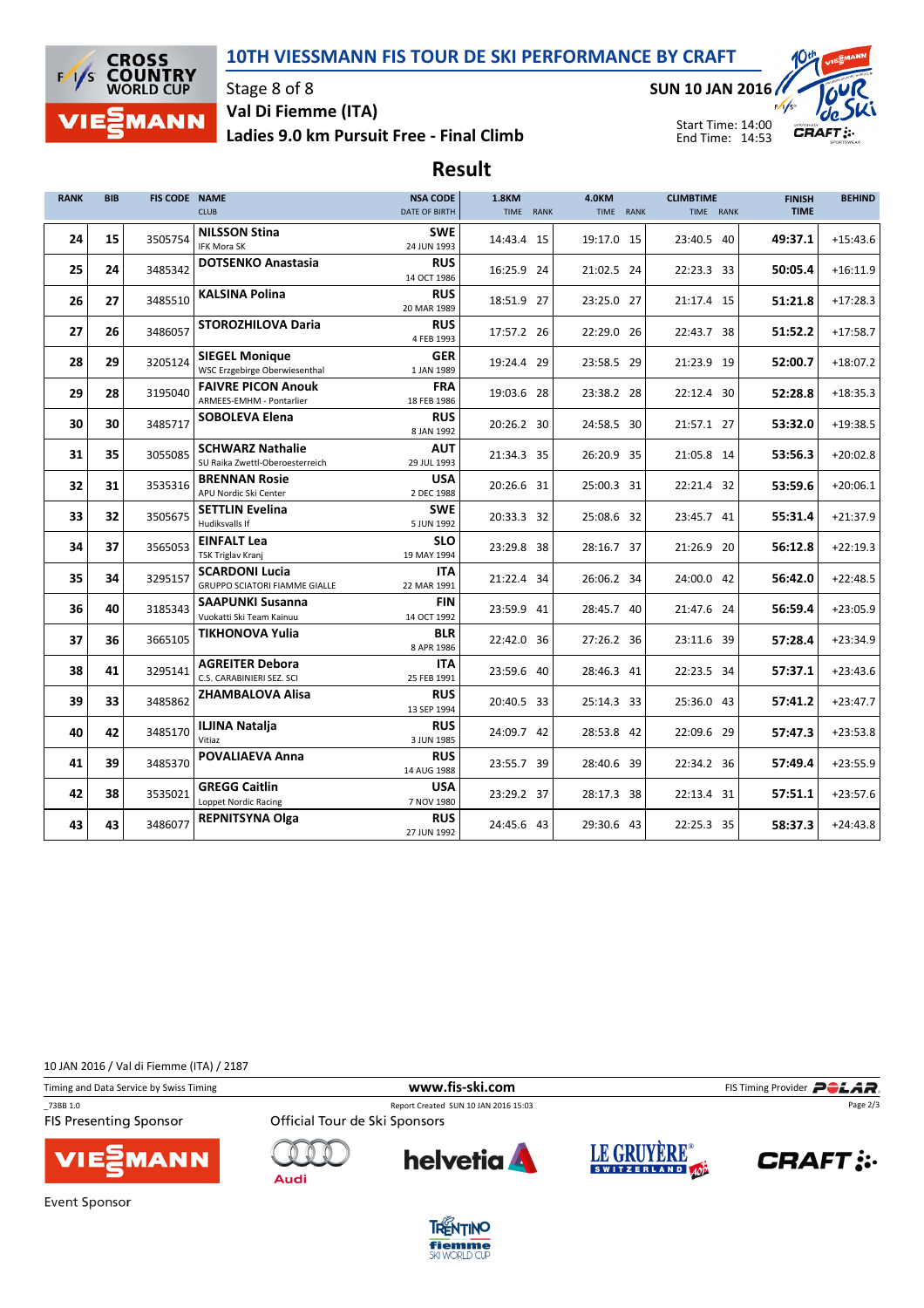## 10TH VIESSMANN FIS TOUR DE SKI PERFORMANCE BY CRAFT



## Stage 8 of 8 Val Di Fiemme (ITA)

Ladies 9.0 km Pursuit Free - Final Climb

SUN 10 JAN 2016



Start Time: 14:00 End Time: 14:53

# Result

| <b>RANK</b> | <b>BIB</b> | FIS CODE NAME | <b>CLUB</b>                                                   | <b>NSA CODE</b><br>DATE OF BIRTH | <b>1.8KM</b><br>TIME RANK | <b>4.0KM</b><br>TIME RANK | <b>CLIMBTIME</b><br>TIME RANK | <b>FINISH</b><br><b>TIME</b> | <b>BEHIND</b> |
|-------------|------------|---------------|---------------------------------------------------------------|----------------------------------|---------------------------|---------------------------|-------------------------------|------------------------------|---------------|
| 24          | 15         | 3505754       | <b>NILSSON Stina</b><br>IFK Mora SK                           | <b>SWE</b><br>24 JUN 1993        | 14:43.4 15                | 19:17.0 15                | 23:40.5 40                    | 49:37.1                      | $+15:43.6$    |
| 25          | 24         | 3485342       | <b>DOTSENKO Anastasia</b>                                     | <b>RUS</b><br>14 OCT 1986        | 16:25.9 24                | 21:02.5 24                | 22:23.3 33                    | 50:05.4                      | $+16:11.9$    |
| 26          | 27         | 3485510       | <b>KALSINA Polina</b>                                         | <b>RUS</b><br>20 MAR 1989        | 18:51.9 27                | 23:25.0 27                | 21:17.4 15                    | 51:21.8                      | $+17:28.3$    |
| 27          | 26         | 3486057       | <b>STOROZHILOVA Daria</b>                                     | <b>RUS</b><br>4 FEB 1993         | 17:57.2 26                | 22:29.0 26                | 22:43.7 38                    | 51:52.2                      | $+17:58.7$    |
| 28          | 29         | 3205124       | <b>SIEGEL Monique</b><br>WSC Erzgebirge Oberwiesenthal        | <b>GER</b><br>1 JAN 1989         | 19:24.4 29                | 23:58.5 29                | 21:23.9 19                    | 52:00.7                      | $+18:07.2$    |
| 29          | 28         | 3195040       | <b>FAIVRE PICON Anouk</b><br>ARMEES-EMHM - Pontarlier         | <b>FRA</b><br>18 FEB 1986        | 19:03.6 28                | 23:38.2 28                | 22:12.4 30                    | 52:28.8                      | $+18:35.3$    |
| 30          | 30         | 3485717       | <b>SOBOLEVA Elena</b>                                         | <b>RUS</b><br>8 JAN 1992         | 20:26.2 30                | 24:58.5 30                | 21:57.1 27                    | 53:32.0                      | $+19:38.5$    |
| 31          | 35         | 3055085       | <b>SCHWARZ Nathalie</b><br>SU Raika Zwettl-Oberoesterreich    | <b>AUT</b><br>29 JUL 1993        | 21:34.3 35                | 26:20.9 35                | 21:05.8 14                    | 53:56.3                      | $+20:02.8$    |
| 32          | 31         | 3535316       | <b>BRENNAN Rosie</b><br>APU Nordic Ski Center                 | <b>USA</b><br>2 DEC 1988         | 20:26.6 31                | 25:00.3 31                | 22:21.4 32                    | 53:59.6                      | $+20:06.1$    |
| 33          | 32         | 3505675       | <b>SETTLIN Evelina</b><br>Hudiksvalls If                      | <b>SWE</b><br>5 JUN 1992         | 20:33.3 32                | 25:08.6 32                | 23:45.7 41                    | 55:31.4                      | $+21:37.9$    |
| 34          | 37         | 3565053       | <b>EINFALT Lea</b><br>TSK Triglav Kranj                       | <b>SLO</b><br>19 MAY 1994        | 23:29.8 38                | 28:16.7 37                | 21:26.9 20                    | 56:12.8                      | $+22:19.3$    |
| 35          | 34         | 3295157       | <b>SCARDONI Lucia</b><br><b>GRUPPO SCIATORI FIAMME GIALLE</b> | <b>ITA</b><br>22 MAR 1991        | 21:22.4 34                | 26:06.2 34                | 24:00.0 42                    | 56:42.0                      | $+22:48.5$    |
| 36          | 40         | 3185343       | <b>SAAPUNKI Susanna</b><br>Vuokatti Ski Team Kainuu           | <b>FIN</b><br>14 OCT 1992        | 23:59.9 41                | 28:45.7 40                | 21:47.6 24                    | 56:59.4                      | $+23:05.9$    |
| 37          | 36         | 3665105       | <b>TIKHONOVA Yulia</b>                                        | <b>BLR</b><br>8 APR 1986         | 22:42.0 36                | 27:26.2 36                | 23:11.6 39                    | 57:28.4                      | $+23:34.9$    |
| 38          | 41         | 3295141       | <b>AGREITER Debora</b><br>C.S. CARABINIERI SEZ. SCI           | <b>ITA</b><br>25 FEB 1991        | 23:59.6 40                | 28:46.3 41                | 22:23.5 34                    | 57:37.1                      | $+23:43.6$    |
| 39          | 33         | 3485862       | <b>ZHAMBALOVA Alisa</b>                                       | <b>RUS</b><br>13 SEP 1994        | 20:40.5 33                | 25:14.3 33                | 25:36.0 43                    | 57:41.2                      | $+23:47.7$    |
| 40          | 42         | 3485170       | <b>ILJINA Natalja</b><br>Vitiaz                               | <b>RUS</b><br>3 JUN 1985         | 24:09.7 42                | 28:53.8 42                | 22:09.6 29                    | 57:47.3                      | $+23:53.8$    |
| 41          | 39         | 3485370       | <b>POVALIAEVA Anna</b>                                        | <b>RUS</b><br>14 AUG 1988        | 23:55.7 39                | 28:40.6 39                | 22:34.2 36                    | 57:49.4                      | $+23:55.9$    |
| 42          | 38         | 3535021       | <b>GREGG Caitlin</b><br>Loppet Nordic Racing                  | <b>USA</b><br>7 NOV 1980         | 23:29.2 37                | 28:17.3 38                | 22:13.4 31                    | 57:51.1                      | $+23:57.6$    |
| 43          | 43         | 3486077       | <b>REPNITSYNA Olga</b>                                        | <b>RUS</b><br>27 JUN 1992        | 24:45.6 43                | 29:30.6 43                | 22:25.3 35                    | 58:37.3                      | $+24:43.8$    |

10 JAN 2016 / Val di Fiemme (ITA) / 2187

**MANN** 

Timing and Data Service by Swiss Timing **Example 20** and Data Service by Swiss Timing Provider **PCLAR** 

\_73BB 1.0 Report Created SUN 10 JAN 2016 15:03

**FIS Presenting Sponsor** 



Official Tour de Ski Sponsors







Page 2/3

**Event Sponsor**